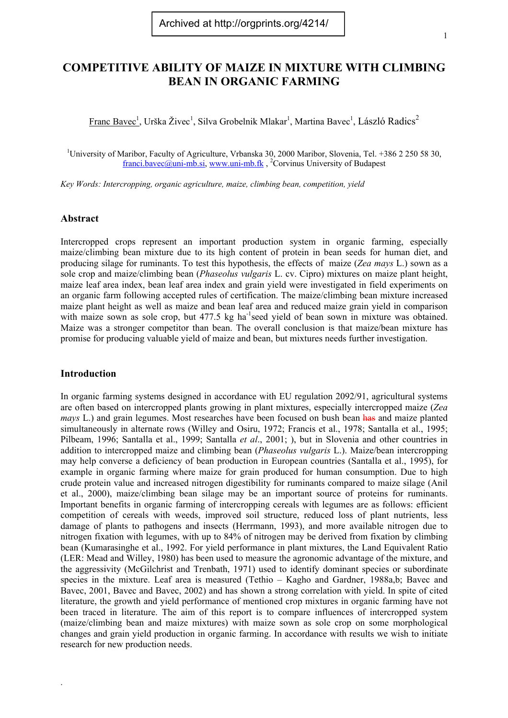# **COMPETITIVE ABILITY OF MAIZE IN MIXTURE WITH CLIMBING BEAN IN ORGANIC FARMING**

Franc Bavec<sup>1</sup>, Urška Živec<sup>1</sup>, Silva Grobelnik Mlakar<sup>1</sup>, Martina Bavec<sup>1</sup>, László Radics<sup>2</sup>

<sup>1</sup>University of Maribor, Faculty of Agriculture, Vrbanska 30, 2000 Maribor, Slovenia, Tel. +386 2 250 58 30, [franci.bavec@uni-mb.si](mailto:franci.bavec@uni-mb.si), [www.uni-mb.fk](http://www.uni-mb.fk/), <sup>2</sup>Corvinus University of Budapest

*Key Words: Intercropping, organic agriculture, maize, climbing bean, competition, yield* 

# **Abstract**

Intercropped crops represent an important production system in organic farming, especially maize/climbing bean mixture due to its high content of protein in bean seeds for human diet, and producing silage for ruminants. To test this hypothesis, the effects of maize (*Zea mays* L.) sown as a sole crop and maize/climbing bean (*Phaseolus vulgaris* L. cv. Cipro) mixtures on maize plant height, maize leaf area index, bean leaf area index and grain yield were investigated in field experiments on an organic farm following accepted rules of certification. The maize/climbing bean mixture increased maize plant height as well as maize and bean leaf area and reduced maize grain yield in comparison with maize sown as sole crop, but 477.5 kg ha<sup>-1</sup>seed yield of bean sown in mixture was obtained. Maize was a stronger competitor than bean. The overall conclusion is that maize/bean mixture has promise for producing valuable yield of maize and bean, but mixtures needs further investigation.

### **Introduction**

.

In organic farming systems designed in accordance with EU regulation 2092/91, agricultural systems are often based on intercropped plants growing in plant mixtures, especially intercropped maize (*Zea mays* L.) and grain legumes. Most researches have been focused on bush bean has and maize planted simultaneously in alternate rows (Willey and Osiru, 1972; Francis et al., 1978; Santalla et al., 1995; Pilbeam, 1996; Santalla et al., 1999; Santalla *et al*., 2001; ), but in Slovenia and other countries in addition to intercropped maize and climbing bean (*Phaseolus vulgaris* L.). Maize/bean intercropping may help converse a deficiency of bean production in European countries (Santalla et al., 1995), for example in organic farming where maize for grain produced for human consumption. Due to high crude protein value and increased nitrogen digestibility for ruminants compared to maize silage (Anil et al., 2000), maize/climbing bean silage may be an important source of proteins for ruminants. Important benefits in organic farming of intercropping cereals with legumes are as follows: efficient competition of cereals with weeds, improved soil structure, reduced loss of plant nutrients, less damage of plants to pathogens and insects (Herrmann, 1993), and more available nitrogen due to nitrogen fixation with legumes, with up to 84% of nitrogen may be derived from fixation by climbing bean (Kumarasinghe et al., 1992. For yield performance in plant mixtures, the Land Equivalent Ratio (LER: Mead and Willey, 1980) has been used to measure the agronomic advantage of the mixture, and the aggressivity (McGilchrist and Trenbath, 1971) used to identify dominant species or subordinate species in the mixture. Leaf area is measured (Tethio – Kagho and Gardner, 1988a,b; Bavec and Bavec, 2001, Bavec and Bavec, 2002) and has shown a strong correlation with yield. In spite of cited literature, the growth and yield performance of mentioned crop mixtures in organic farming have not been traced in literature. The aim of this report is to compare influences of intercropped system (maize/climbing bean and maize mixtures) with maize sown as sole crop on some morphological changes and grain yield production in organic farming. In accordance with results we wish to initiate research for new production needs.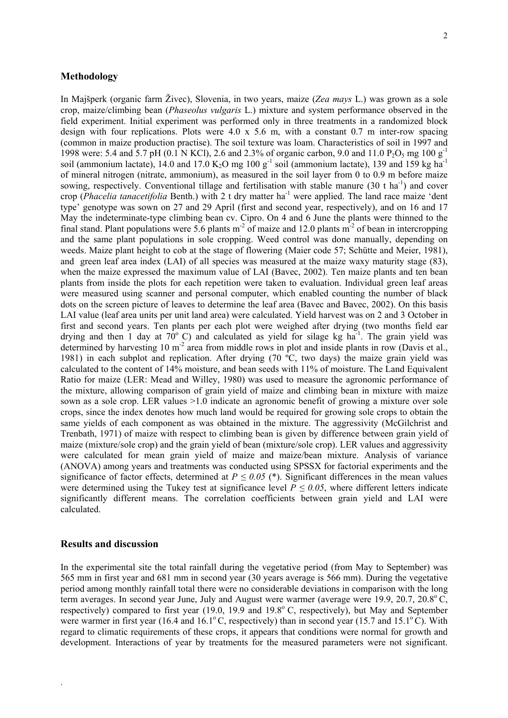### **Methodology**

In Majšperk (organic farm Živec), Slovenia, in two years, maize (*Zea mays* L.) was grown as a sole crop, maize/climbing bean (*Phaseolus vulgaris* L.) mixture and system performance observed in the field experiment. Initial experiment was performed only in three treatments in a randomized block design with four replications. Plots were  $4.0 \times 5.6$  m, with a constant  $0.7$  m inter-row spacing (common in maize production practise). The soil texture was loam. Characteristics of soil in 1997 and 1998 were: 5.4 and 5.7 pH (0.1 N KCl), 2.6 and 2.3% of organic carbon, 9.0 and 11.0 P<sub>2</sub>O<sub>5</sub> mg 100 g<sup>-1</sup> soil (ammonium lactate), 14.0 and 17.0  $K_2O$  mg 100  $g^{-1}$  soil (ammonium lactate), 139 and 159 kg ha<sup>-1</sup> of mineral nitrogen (nitrate, ammonium), as measured in the soil layer from 0 to 0.9 m before maize sowing, respectively. Conventional tillage and fertilisation with stable manure (30 t ha<sup>-1</sup>) and cover crop (*Phacelia tanacetifolia* Benth.) with 2 t dry matter ha<sup>-1</sup> were applied. The land race maize 'dent type' genotype was sown on 27 and 29 April (first and second year, respectively), and on 16 and 17 May the indeterminate-type climbing bean cv. Cipro. On 4 and 6 June the plants were thinned to the final stand. Plant populations were 5.6 plants  $m<sup>2</sup>$  of maize and 12.0 plants  $m<sup>2</sup>$  of bean in intercropping and the same plant populations in sole cropping. Weed control was done manually, depending on weeds. Maize plant height to cob at the stage of flowering (Maier code 57; Schütte and Meier, 1981), and green leaf area index (LAI) of all species was measured at the maize waxy maturity stage (83), when the maize expressed the maximum value of LAI (Bavec, 2002). Ten maize plants and ten bean plants from inside the plots for each repetition were taken to evaluation. Individual green leaf areas were measured using scanner and personal computer, which enabled counting the number of black dots on the screen picture of leaves to determine the leaf area (Bavec and Bavec, 2002). On this basis LAI value (leaf area units per unit land area) were calculated. Yield harvest was on 2 and 3 October in first and second years. Ten plants per each plot were weighed after drying (two months field ear drying and then 1 day at  $70^{\circ}$  C) and calculated as yield for silage kg ha<sup>-1</sup>. The grain yield was determined by harvesting  $10 \text{ m}^2$  area from middle rows in plot and inside plants in row (Davis et al., 1981) in each subplot and replication. After drying (70 ºC, two days) the maize grain yield was calculated to the content of 14% moisture, and bean seeds with 11% of moisture. The Land Equivalent Ratio for maize (LER: Mead and Willey, 1980) was used to measure the agronomic performance of the mixture, allowing comparison of grain yield of maize and climbing bean in mixture with maize sown as a sole crop. LER values >1.0 indicate an agronomic benefit of growing a mixture over sole crops, since the index denotes how much land would be required for growing sole crops to obtain the same yields of each component as was obtained in the mixture. The aggressivity (McGilchrist and Trenbath, 1971) of maize with respect to climbing bean is given by difference between grain yield of maize (mixture/sole crop) and the grain yield of bean (mixture/sole crop). LER values and aggressivity were calculated for mean grain yield of maize and maize/bean mixture. Analysis of variance (ANOVA) among years and treatments was conducted using SPSSX for factorial experiments and the significance of factor effects, determined at  $P \le 0.05$  (\*). Significant differences in the mean values were determined using the Tukey test at significance level  $P \le 0.05$ , where different letters indicate significantly different means. The correlation coefficients between grain yield and LAI were calculated.

#### **Results and discussion**

.

In the experimental site the total rainfall during the vegetative period (from May to September) was 565 mm in first year and 681 mm in second year (30 years average is 566 mm). During the vegetative period among monthly rainfall total there were no considerable deviations in comparison with the long term averages. In second year June, July and August were warmer (average were  $19.9, 20.7, 20.8^{\circ}$ C, respectively) compared to first year  $(19.0, 19.9, 19.8)$  and  $(19.8)$ <sup>o</sup> C, respectively), but May and September were warmer in first year (16.4 and 16.1 $^{\circ}$ C, respectively) than in second year (15.7 and 15.1 $^{\circ}$ C). With regard to climatic requirements of these crops, it appears that conditions were normal for growth and development. Interactions of year by treatments for the measured parameters were not significant.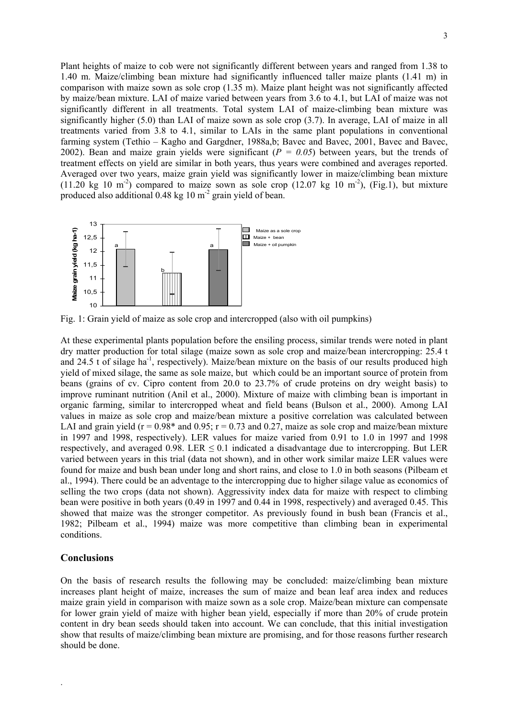Plant heights of maize to cob were not significantly different between years and ranged from 1.38 to 1.40 m. Maize/climbing bean mixture had significantly influenced taller maize plants (1.41 m) in comparison with maize sown as sole crop (1.35 m). Maize plant height was not significantly affected by maize/bean mixture. LAI of maize varied between years from 3.6 to 4.1, but LAI of maize was not significantly different in all treatments. Total system LAI of maize-climbing bean mixture was significantly higher (5.0) than LAI of maize sown as sole crop (3.7). In average, LAI of maize in all treatments varied from 3.8 to 4.1, similar to LAIs in the same plant populations in conventional farming system (Tethio – Kagho and Gargdner, 1988a,b; Bavec and Bavec, 2001, Bavec and Bavec, 2002). Bean and maize grain yields were significant (*P = 0.05*) between years, but the trends of treatment effects on yield are similar in both years, thus years were combined and averages reported. Averaged over two years, maize grain yield was significantly lower in maize/climbing bean mixture  $(11.20 \text{ kg } 10 \text{ m}^2)$  compared to maize sown as sole crop  $(12.07 \text{ kg } 10 \text{ m}^2)$ , (Fig.1), but mixture produced also additional 0.48 kg 10 m<sup>-2</sup> grain yield of bean.



Fig. 1: Grain yield of maize as sole crop and intercropped (also with oil pumpkins)

At these experimental plants population before the ensiling process, similar trends were noted in plant dry matter production for total silage (maize sown as sole crop and maize/bean intercropping: 25.4 t and 24.5 t of silage ha<sup>-1</sup>, respectively). Maize/bean mixture on the basis of our results produced high yield of mixed silage, the same as sole maize, but which could be an important source of protein from beans (grains of cv. Cipro content from 20.0 to 23.7% of crude proteins on dry weight basis) to improve ruminant nutrition (Anil et al., 2000). Mixture of maize with climbing bean is important in organic farming, similar to intercropped wheat and field beans (Bulson et al., 2000). Among LAI values in maize as sole crop and maize/bean mixture a positive correlation was calculated between LAI and grain yield ( $r = 0.98*$  and 0.95;  $r = 0.73$  and 0.27, maize as sole crop and maize/bean mixture in 1997 and 1998, respectively). LER values for maize varied from 0.91 to 1.0 in 1997 and 1998 respectively, and averaged  $0.98$ . LER  $\leq 0.1$  indicated a disadvantage due to intercropping. But LER varied between years in this trial (data not shown), and in other work similar maize LER values were found for maize and bush bean under long and short rains, and close to 1.0 in both seasons (Pilbeam et al., 1994). There could be an adventage to the intercropping due to higher silage value as economics of selling the two crops (data not shown). Aggressivity index data for maize with respect to climbing bean were positive in both years (0.49 in 1997 and 0.44 in 1998, respectively) and averaged 0.45. This showed that maize was the stronger competitor. As previously found in bush bean (Francis et al., 1982; Pilbeam et al., 1994) maize was more competitive than climbing bean in experimental conditions.

## **Conclusions**

.

On the basis of research results the following may be concluded: maize/climbing bean mixture increases plant height of maize, increases the sum of maize and bean leaf area index and reduces maize grain yield in comparison with maize sown as a sole crop. Maize/bean mixture can compensate for lower grain yield of maize with higher bean yield, especially if more than 20% of crude protein content in dry bean seeds should taken into account. We can conclude, that this initial investigation show that results of maize/climbing bean mixture are promising, and for those reasons further research should be done.